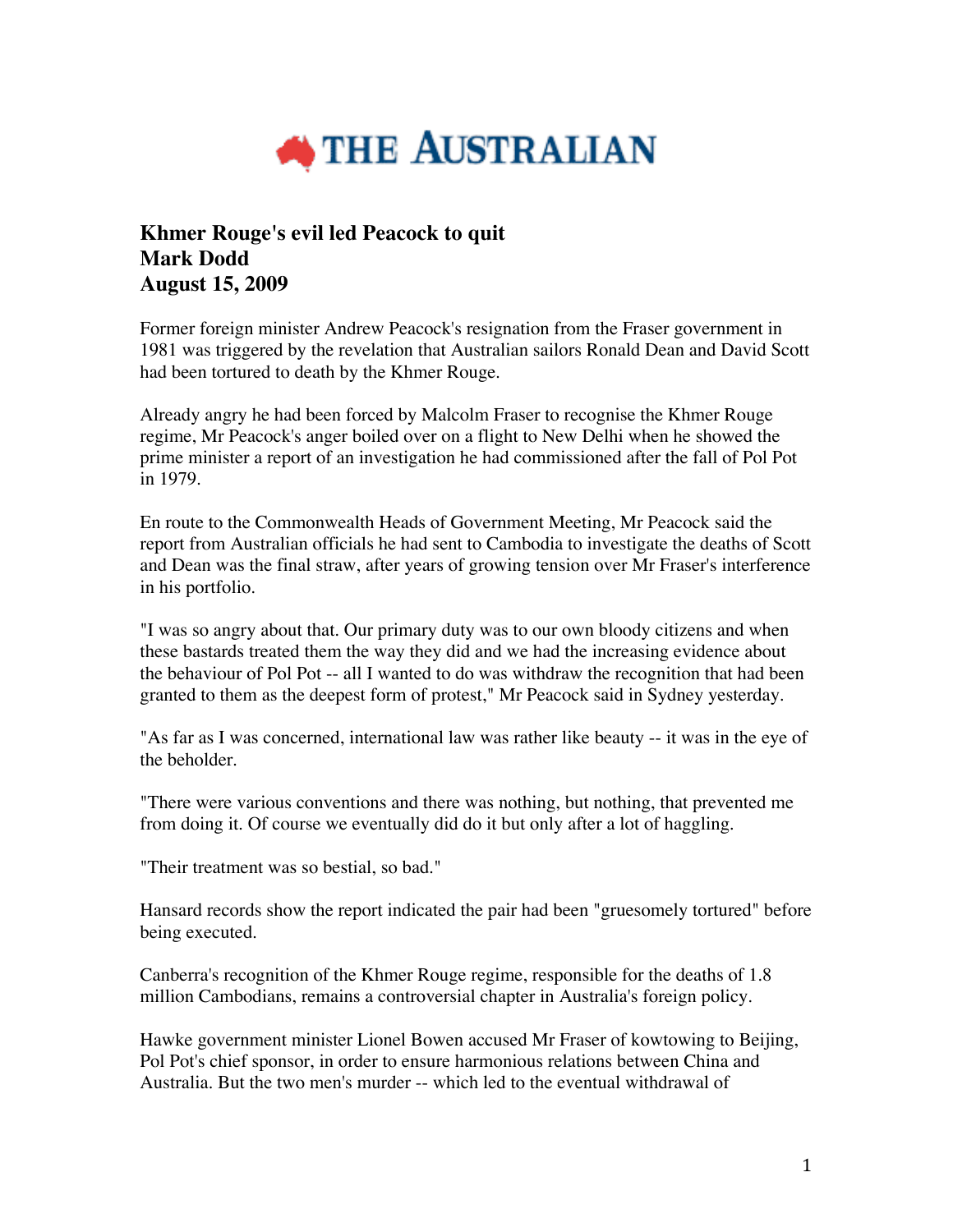

## **Khmer Rouge's evil led Peacock to quit Mark Dodd August 15, 2009**

Former foreign minister Andrew Peacock's resignation from the Fraser government in 1981 was triggered by the revelation that Australian sailors Ronald Dean and David Scott had been tortured to death by the Khmer Rouge.

Already angry he had been forced by Malcolm Fraser to recognise the Khmer Rouge regime, Mr Peacock's anger boiled over on a flight to New Delhi when he showed the prime minister a report of an investigation he had commissioned after the fall of Pol Pot in 1979.

En route to the Commonwealth Heads of Government Meeting, Mr Peacock said the report from Australian officials he had sent to Cambodia to investigate the deaths of Scott and Dean was the final straw, after years of growing tension over Mr Fraser's interference in his portfolio.

"I was so angry about that. Our primary duty was to our own bloody citizens and when these bastards treated them the way they did and we had the increasing evidence about the behaviour of Pol Pot -- all I wanted to do was withdraw the recognition that had been granted to them as the deepest form of protest," Mr Peacock said in Sydney yesterday.

"As far as I was concerned, international law was rather like beauty -- it was in the eye of the beholder.

"There were various conventions and there was nothing, but nothing, that prevented me from doing it. Of course we eventually did do it but only after a lot of haggling.

"Their treatment was so bestial, so bad."

Hansard records show the report indicated the pair had been "gruesomely tortured" before being executed.

Canberra's recognition of the Khmer Rouge regime, responsible for the deaths of 1.8 million Cambodians, remains a controversial chapter in Australia's foreign policy.

Hawke government minister Lionel Bowen accused Mr Fraser of kowtowing to Beijing, Pol Pot's chief sponsor, in order to ensure harmonious relations between China and Australia. But the two men's murder -- which led to the eventual withdrawal of